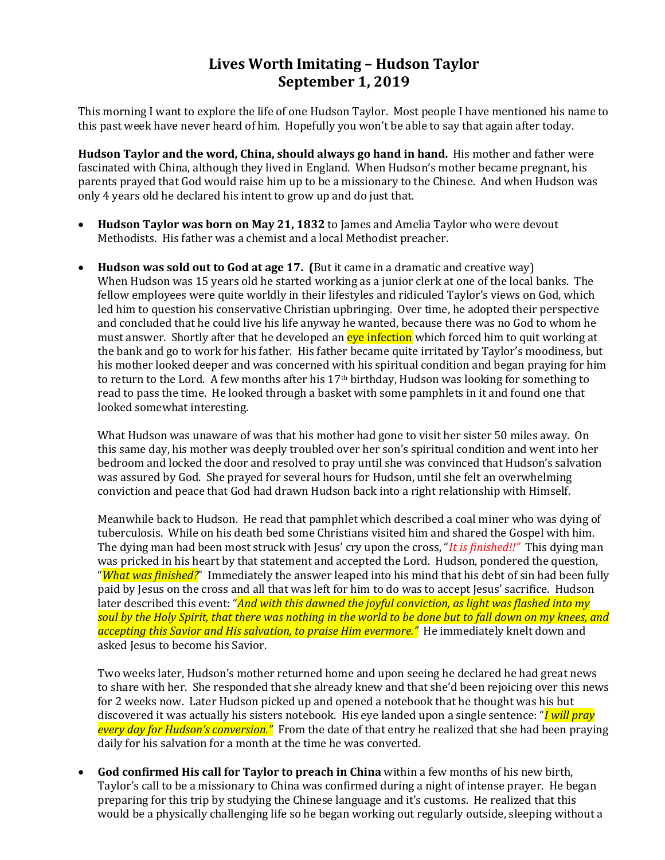## **Lives Worth Imitating – Hudson Taylor September 1, 2019**

This morning I want to explore the life of one Hudson Taylor. Most people I have mentioned his name to this past week have never heard of him. Hopefully you won't be able to say that again after today.

**Hudson Taylor and the word, China, should always go hand in hand.** His mother and father were fascinated with China, although they lived in England. When Hudson's mother became pregnant, his parents prayed that God would raise him up to be a missionary to the Chinese. And when Hudson was only 4 years old he declared his intent to grow up and do just that.

- **Hudson Taylor was born on May 21, 1832** to James and Amelia Taylor who were devout Methodists. His father was a chemist and a local Methodist preacher.
- **Hudson was sold out to God at age 17. (**But it came in a dramatic and creative way) When Hudson was 15 years old he started working as a junior clerk at one of the local banks. The fellow employees were quite worldly in their lifestyles and ridiculed Taylor's views on God, which led him to question his conservative Christian upbringing. Over time, he adopted their perspective and concluded that he could live his life anyway he wanted, because there was no God to whom he must answer. Shortly after that he developed an eve infection which forced him to quit working at the bank and go to work for his father. His father became quite irritated by Taylor's moodiness, but his mother looked deeper and was concerned with his spiritual condition and began praying for him to return to the Lord. A few months after his  $17<sup>th</sup>$  birthday, Hudson was looking for something to read to pass the time. He looked through a basket with some pamphlets in it and found one that looked somewhat interesting.

What Hudson was unaware of was that his mother had gone to visit her sister 50 miles away. On this same day, his mother was deeply troubled over her son's spiritual condition and went into her bedroom and locked the door and resolved to pray until she was convinced that Hudson's salvation was assured by God. She prayed for several hours for Hudson, until she felt an overwhelming conviction and peace that God had drawn Hudson back into a right relationship with Himself.

Meanwhile back to Hudson. He read that pamphlet which described a coal miner who was dying of tuberculosis. While on his death bed some Christians visited him and shared the Gospel with him. The dying man had been most struck with Jesus' cry upon the cross, "*It is finished!!"* This dying man was pricked in his heart by that statement and accepted the Lord. Hudson, pondered the question, "*What was finished?*" Immediately the answer leaped into his mind that his debt of sin had been fully paid by Jesus on the cross and all that was left for him to do was to accept Jesus' sacrifice. Hudson later described this event: "*And with this dawned the joyful conviction, as light was flashed into my soul by the Holy Spirit, that there was nothing in the world to be done but to fall down on my knees, and accepting this Savior and His salvation, to praise Him evermore."* He immediately knelt down and asked Jesus to become his Savior.

Two weeks later, Hudson's mother returned home and upon seeing he declared he had great news to share with her. She responded that she already knew and that she'd been rejoicing over this news for 2 weeks now. Later Hudson picked up and opened a notebook that he thought was his but discovered it was actually his sisters notebook. His eye landed upon a single sentence: "*I will pray every day for Hudson's conversion."* From the date of that entry he realized that she had been praying daily for his salvation for a month at the time he was converted.

• **God confirmed His call for Taylor to preach in China** within a few months of his new birth, Taylor's call to be a missionary to China was confirmed during a night of intense prayer. He began preparing for this trip by studying the Chinese language and it's customs. He realized that this would be a physically challenging life so he began working out regularly outside, sleeping without a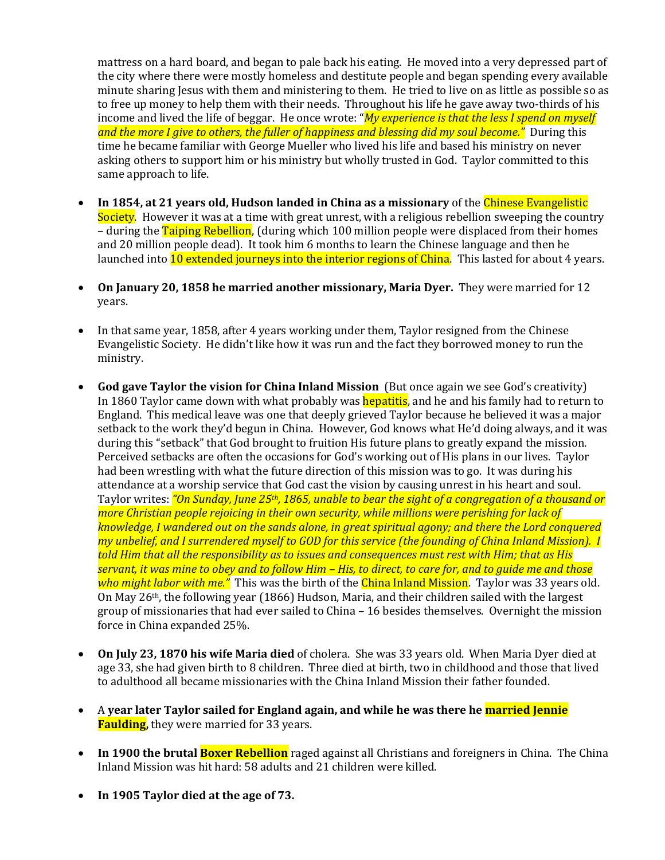mattress on a hard board, and began to pale back his eating. He moved into a very depressed part of the city where there were mostly homeless and destitute people and began spending every available minute sharing Jesus with them and ministering to them. He tried to live on as little as possible so as to free up money to help them with their needs. Throughout his life he gave away two-thirds of his income and lived the life of beggar. He once wrote: "*My experience is that the less I spend on myself and the more I give to others, the fuller of happiness and blessing did my soul become."* During this time he became familiar with George Mueller who lived his life and based his ministry on never asking others to support him or his ministry but wholly trusted in God. Taylor committed to this same approach to life.

- **In 1854, at 21 years old, Hudson landed in China as a missionary** of the Chinese Evangelistic Society. However it was at a time with great unrest, with a religious rebellion sweeping the country – during the Taiping Rebellion, (during which 100 million people were displaced from their homes and 20 million people dead). It took him 6 months to learn the Chinese language and then he launched into 10 extended journeys into the interior regions of China. This lasted for about 4 years.
- **On January 20, 1858 he married another missionary, Maria Dyer.** They were married for 12 years.
- In that same year, 1858, after 4 years working under them, Taylor resigned from the Chinese Evangelistic Society. He didn't like how it was run and the fact they borrowed money to run the ministry.
- **God gave Taylor the vision for China Inland Mission** (But once again we see God's creativity) In 1860 Taylor came down with what probably was hepatitis, and he and his family had to return to England. This medical leave was one that deeply grieved Taylor because he believed it was a major setback to the work they'd begun in China. However, God knows what He'd doing always, and it was during this "setback" that God brought to fruition His future plans to greatly expand the mission. Perceived setbacks are often the occasions for God's working out of His plans in our lives. Taylor had been wrestling with what the future direction of this mission was to go. It was during his attendance at a worship service that God cast the vision by causing unrest in his heart and soul. Taylor writes: *"On Sunday, June 25th, 1865, unable to bear the sight of a congregation of a thousand or more Christian people rejoicing in their own security, while millions were perishing for lack of knowledge, I wandered out on the sands alone, in great spiritual agony; and there the Lord conquered my unbelief, and I surrendered myself to GOD for this service (the founding of China Inland Mission). I told Him that all the responsibility as to issues and consequences must rest with Him; that as His servant, it was mine to obey and to follow Him – His, to direct, to care for, and to guide me and those who might labor with me."* This was the birth of the China Inland Mission. Taylor was 33 years old. On May 26th, the following year (1866) Hudson, Maria, and their children sailed with the largest group of missionaries that had ever sailed to China – 16 besides themselves. Overnight the mission force in China expanded 25%.
- **On July 23, 1870 his wife Maria died** of cholera. She was 33 years old. When Maria Dyer died at age 33, she had given birth to 8 children. Three died at birth, two in childhood and those that lived to adulthood all became missionaries with the China Inland Mission their father founded.
- A **year later Taylor sailed for England again, and while he was there he married Jennie Faulding,** they were married for 33 years.
- In 1900 the brutal **Boxer Rebellion** raged against all Christians and foreigners in China. The China Inland Mission was hit hard: 58 adults and 21 children were killed.
- **In 1905 Taylor died at the age of 73.**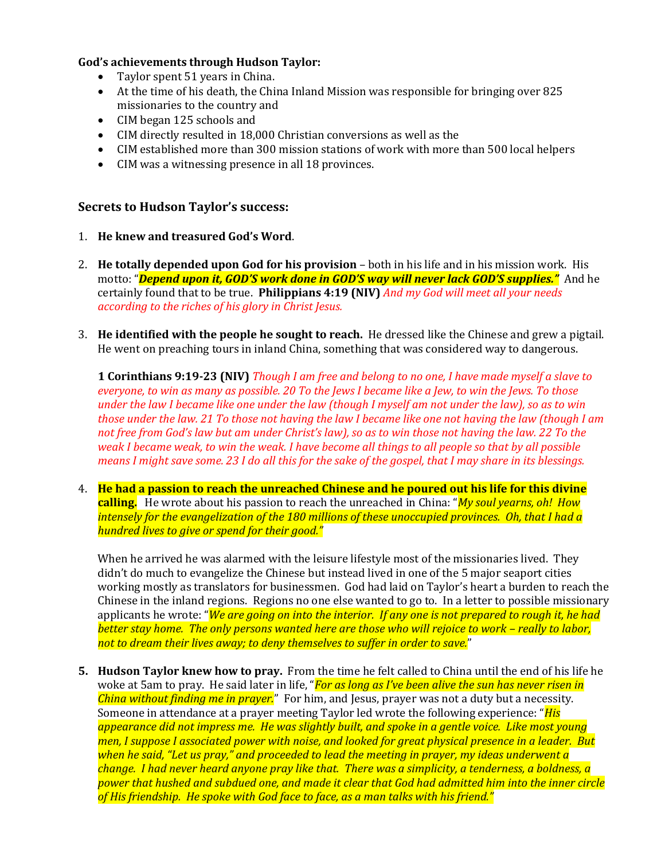#### **God's achievements through Hudson Taylor:**

- Taylor spent 51 years in China.
- At the time of his death, the China Inland Mission was responsible for bringing over 825 missionaries to the country and
- CIM began 125 schools and
- CIM directly resulted in 18,000 Christian conversions as well as the
- CIM established more than 300 mission stations of work with more than 500 local helpers
- CIM was a witnessing presence in all 18 provinces.

#### **Secrets to Hudson Taylor's success:**

- 1. **He knew and treasured God's Word**.
- 2. **He totally depended upon God for his provision**  both in his life and in his mission work. His motto: "*Depend upon it, GOD'S work done in GOD'S way will never lack GOD'S supplies."* And he certainly found that to be true. **Philippians 4:19 (NIV)** *And my God will meet all your needs according to the riches of his glory in Christ Jesus.*
- 3. **He identified with the people he sought to reach.** He dressed like the Chinese and grew a pigtail. He went on preaching tours in inland China, something that was considered way to dangerous.

**1 Corinthians 9:19-23 (NIV)** *Though I am free and belong to no one, I have made myself a slave to everyone, to win as many as possible. 20 To the Jews I became like a Jew, to win the Jews. To those under the law I became like one under the law (though I myself am not under the law), so as to win those under the law. 21 To those not having the law I became like one not having the law (though I am not free from God's law but am under Christ's law), so as to win those not having the law. 22 To the weak I became weak, to win the weak. I have become all things to all people so that by all possible means I might save some. 23 I do all this for the sake of the gospel, that I may share in its blessings.*

4. **He had a passion to reach the unreached Chinese and he poured out his life for this divine calling.** He wrote about his passion to reach the unreached in China: "*My soul yearns, oh! How intensely for the evangelization of the 180 millions of these unoccupied provinces. Oh, that I had a hundred lives to give or spend for their good."*

When he arrived he was alarmed with the leisure lifestyle most of the missionaries lived. They didn't do much to evangelize the Chinese but instead lived in one of the 5 major seaport cities working mostly as translators for businessmen. God had laid on Taylor's heart a burden to reach the Chinese in the inland regions. Regions no one else wanted to go to. In a letter to possible missionary applicants he wrote: "*We are going on into the interior. If any one is not prepared to rough it, he had better stay home. The only persons wanted here are those who will rejoice to work – really to labor, not to dream their lives away; to deny themselves to suffer in order to save.*"

**5. Hudson Taylor knew how to pray.** From the time he felt called to China until the end of his life he woke at 5am to pray. He said later in life, "*For as long as I've been alive the sun has never risen in China without finding me in prayer.*" For him, and Jesus, prayer was not a duty but a necessity. Someone in attendance at a prayer meeting Taylor led wrote the following experience: "*His appearance did not impress me. He was slightly built, and spoke in a gentle voice. Like most young men, I suppose I associated power with noise, and looked for great physical presence in a leader. But when he said, "Let us pray," and proceeded to lead the meeting in prayer, my ideas underwent a change. I had never heard anyone pray like that. There was a simplicity, a tenderness, a boldness, a power that hushed and subdued one, and made it clear that God had admitted him into the inner circle of His friendship. He spoke with God face to face, as a man talks with his friend."*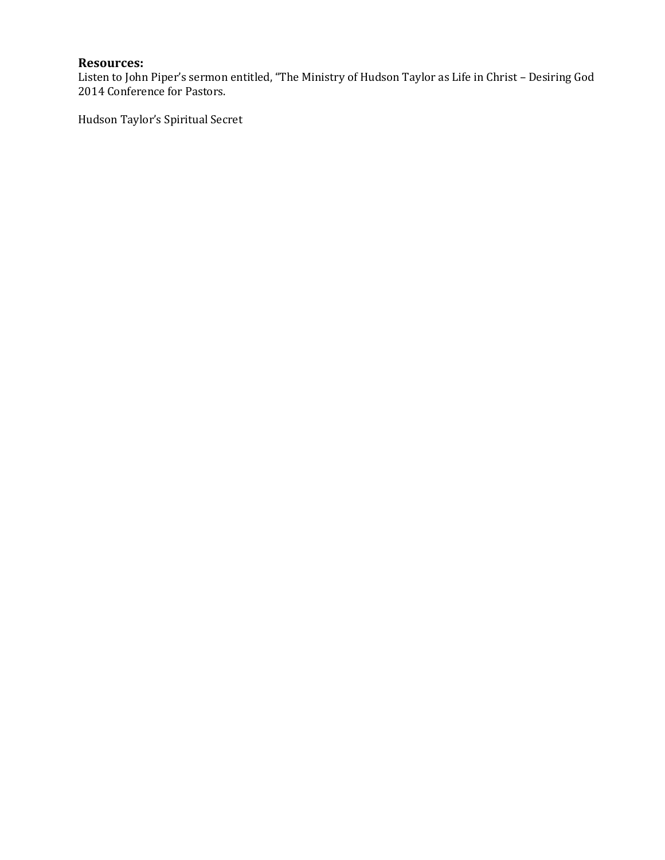## **Resources:**

Listen to John Piper's sermon entitled, "The Ministry of Hudson Taylor as Life in Christ – Desiring God 2014 Conference for Pastors.

Hudson Taylor's Spiritual Secret